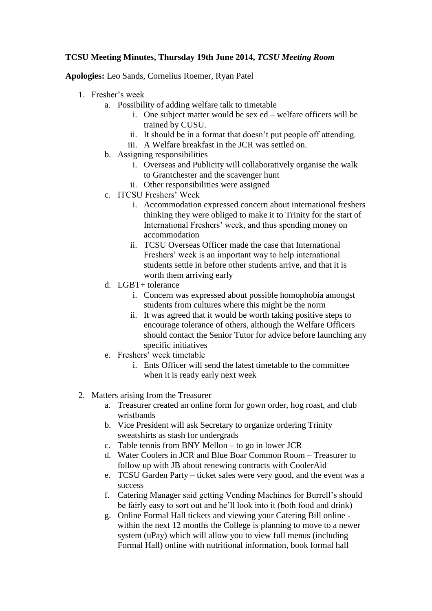## **TCSU Meeting Minutes, Thursday 19th June 2014,** *TCSU Meeting Room*

**Apologies:** Leo Sands, Cornelius Roemer, Ryan Patel

- 1. Fresher's week
	- a. Possibility of adding welfare talk to timetable
		- i. One subject matter would be sex ed welfare officers will be trained by CUSU.
		- ii. It should be in a format that doesn't put people off attending.
		- iii. A Welfare breakfast in the JCR was settled on.
	- b. Assigning responsibilities
		- i. Overseas and Publicity will collaboratively organise the walk to Grantchester and the scavenger hunt
		- ii. Other responsibilities were assigned
	- c. ITCSU Freshers' Week
		- i. Accommodation expressed concern about international freshers thinking they were obliged to make it to Trinity for the start of International Freshers' week, and thus spending money on accommodation
		- ii. TCSU Overseas Officer made the case that International Freshers' week is an important way to help international students settle in before other students arrive, and that it is worth them arriving early
	- d. LGBT+ tolerance
		- i. Concern was expressed about possible homophobia amongst students from cultures where this might be the norm
		- ii. It was agreed that it would be worth taking positive steps to encourage tolerance of others, although the Welfare Officers should contact the Senior Tutor for advice before launching any specific initiatives
	- e. Freshers' week timetable
		- i. Ents Officer will send the latest timetable to the committee when it is ready early next week
- 2. Matters arising from the Treasurer
	- a. Treasurer created an online form for gown order, hog roast, and club wristbands
	- b. Vice President will ask Secretary to organize ordering Trinity sweatshirts as stash for undergrads
	- c. Table tennis from BNY Mellon to go in lower JCR
	- d. Water Coolers in JCR and Blue Boar Common Room Treasurer to follow up with JB about renewing contracts with CoolerAid
	- e. TCSU Garden Party ticket sales were very good, and the event was a success
	- f. Catering Manager said getting Vending Machines for Burrell's should be fairly easy to sort out and he'll look into it (both food and drink)
	- g. Online Formal Hall tickets and viewing your Catering Bill online within the next 12 months the College is planning to move to a newer system (uPay) which will allow you to view full menus (including Formal Hall) online with nutritional information, book formal hall